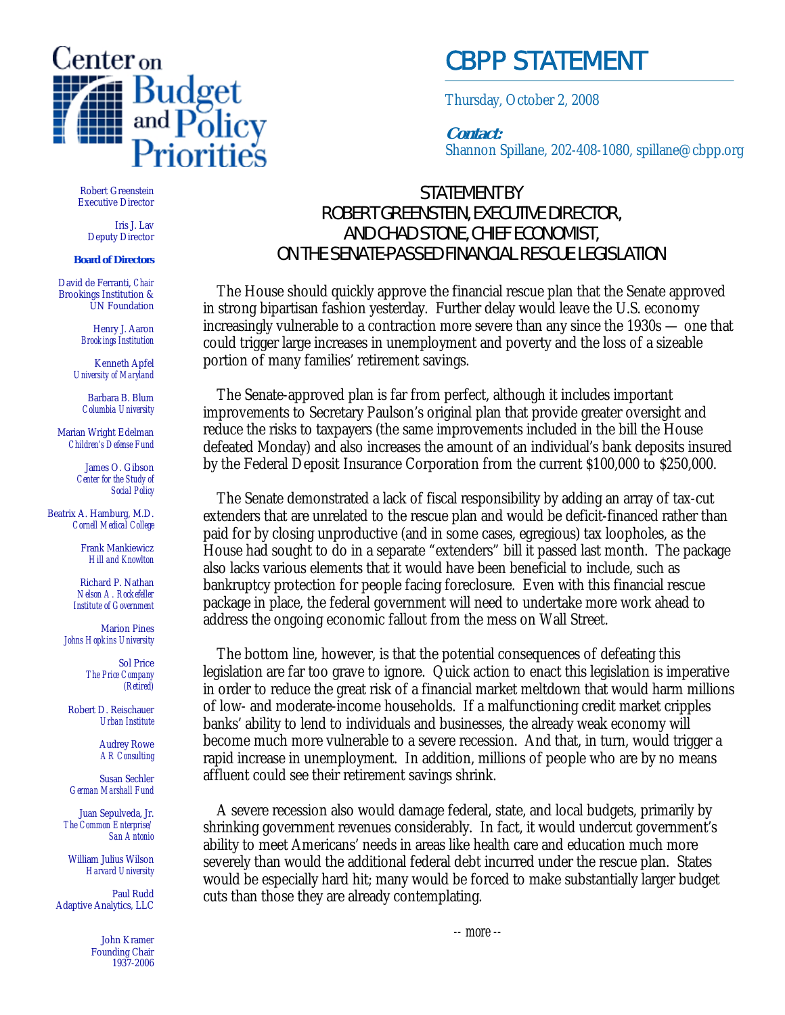

## CBPP STATEMENT

Thursday, October 2, 2008

**Contact:** Shannon Spillane, 202-408-1080, spillane@cbpp.org

Robert Greenstein Executive Director

Iris J. Lav Deputy Director

## **Board of Directors**

David de Ferranti, *Chair* Brookings Institution & UN Foundation

> Henry J. Aaron *Brookings Institution*

Kenneth Apfel *University of Maryland*

Barbara B. Blum *Columbia University*

Marian Wright Edelman *Children's Defense Fund*

> James O. Gibson *Center for the Study of Social Policy*

Beatrix A. Hamburg, M.D. *Cornell Medical College*

> Frank Mankiewicz *Hill and Knowlton*

Richard P. Nathan *Nelson A. Rockefeller Institute of Government*

Marion Pines *Johns Hopkins University*

> Sol Price *The Price Company (Retired)*

Robert D. Reischauer *Urban Institute*

> Audrey Rowe *AR Consulting*

Susan Sechler *German Marshall Fund*

Juan Sepulveda, Jr. *The Common Enterprise/ San Antonio*

William Julius Wilson *Harvard University*

Paul Rudd Adaptive Analytics, LLC

> John Kramer Founding Chair 1937-2006

## STATEMENT BY ROBERT GREENSTEIN, EXECUTIVE DIRECTOR, AND CHAD STONE, CHIEF ECONOMIST, ON THE SENATE-PASSED FINANCIAL RESCUE LEGISLATION

 The House should quickly approve the financial rescue plan that the Senate approved in strong bipartisan fashion yesterday. Further delay would leave the U.S. economy increasingly vulnerable to a contraction more severe than any since the 1930s — one that could trigger large increases in unemployment and poverty and the loss of a sizeable portion of many families' retirement savings.

The Senate-approved plan is far from perfect, although it includes important improvements to Secretary Paulson's original plan that provide greater oversight and reduce the risks to taxpayers (the same improvements included in the bill the House defeated Monday) and also increases the amount of an individual's bank deposits insured by the Federal Deposit Insurance Corporation from the current \$100,000 to \$250,000.

The Senate demonstrated a lack of fiscal responsibility by adding an array of tax-cut extenders that are unrelated to the rescue plan and would be deficit-financed rather than paid for by closing unproductive (and in some cases, egregious) tax loopholes, as the House had sought to do in a separate "extenders" bill it passed last month. The package also lacks various elements that it would have been beneficial to include, such as bankruptcy protection for people facing foreclosure. Even with this financial rescue package in place, the federal government will need to undertake more work ahead to address the ongoing economic fallout from the mess on Wall Street.

The bottom line, however, is that the potential consequences of defeating this legislation are far too grave to ignore. Quick action to enact this legislation is imperative in order to reduce the great risk of a financial market meltdown that would harm millions of low- and moderate-income households. If a malfunctioning credit market cripples banks' ability to lend to individuals and businesses, the already weak economy will become much more vulnerable to a severe recession. And that, in turn, would trigger a rapid increase in unemployment. In addition, millions of people who are by no means affluent could see their retirement savings shrink.

A severe recession also would damage federal, state, and local budgets, primarily by shrinking government revenues considerably. In fact, it would undercut government's ability to meet Americans' needs in areas like health care and education much more severely than would the additional federal debt incurred under the rescue plan. States would be especially hard hit; many would be forced to make substantially larger budget cuts than those they are already contemplating.